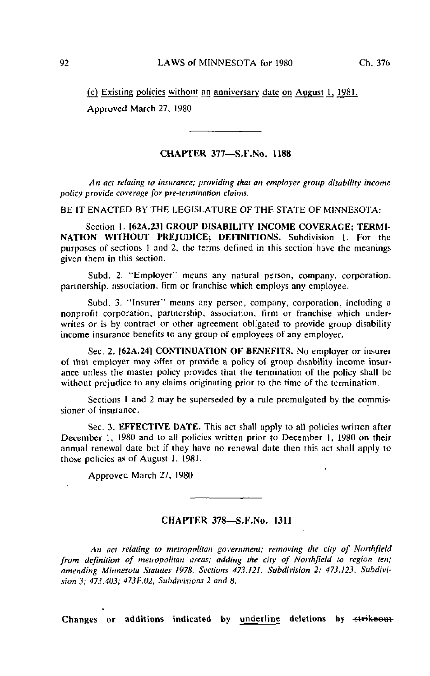$(c)$  Existing policies without an anniversary date on August 1, 1981. Approved March 27, 1980

## CHAPTER 377—S.F.No. 1188

An act relating to insurance; providing thai an employer group disability income policy provide coverage for pre-iermination claims.

BE IT ENACTED BY THE LEGISLATURE OF THE STATE OF MINNESOTA:

Section 1. [62A.23] GROUP DISABILITY INCOME COVERAGE; TERMI-NATION WITHOUT PREJUDICE; DEFINITIONS. Subdivision 1. For the purposes of sections I and 2, the terms defined in this section have the meanings given them in this section.

Subd. 2. "Employer" means any natural person, company, corporation, partnership, association, firm or franchise which employs any employee.

Subd. 3. "Insurer" means any person, company, corporation, including a nonprofit corporation, partnership, association, firm or franchise which underwrites or is by contract or other agreement obligated to provide group disability income insurance benefits to any group of employees of any employer.

Sec. 2. [62A.24] CONTINUATION OF BENEFITS. No employer or insurer of that employer may offer or provide a policy of group disability income insurance unless the master policy provides that the termination of the policy shall be without prejudice to any claims originating prior to the time of the termination.

Sections 1 and 2 may be superseded by a rule promulgated by the commissioner of insurance.

Sec. 3. EFFECTIVE DATE. This act shall apply to all policies written after December 1, 1980 and to all policies written prior to December 1, 1980 on their annual renewal date but if they have no renewal date then this act shall apply to those policies as of August 1. 1981.

Approved March 27. 1980

## CHAPTER 378—S.F.No. 1311

An aci relating to metropolitan government; removing the city of Northfield from definition of metropolitan areas; adding the city of Northfield to region ten; amending Minnesota Statutes 1978, Sections 473.121, Subdivision 2; 473.123, Subdivision 3; 473.403; 473F.02, Subdivisions 2 and 8.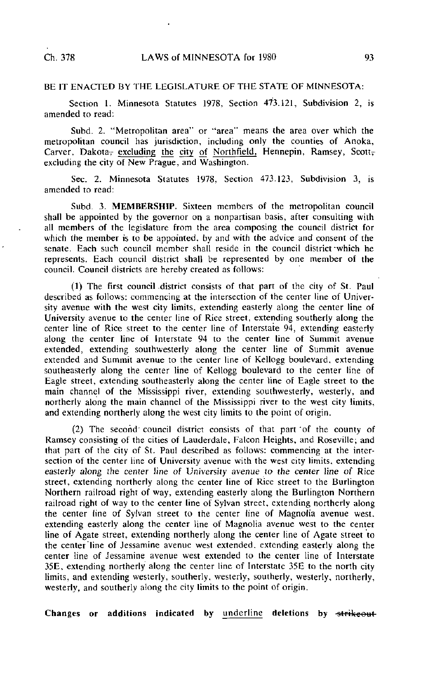## BE IT ENACTED BY THE LEGISLATURE OF THE STATE OF MINNESOTA:

Section 1. Minnesota Statutes 1978, Section 473.121, Subdivision 2, is amended to read:

Subd. 2. "Metropolitan area" or "area" means the area over which the metropolitan council has jurisdiction, including only the counties of Anoka, Carver, Dakota, excluding the city of Northfield, Hennepin, Ramsey, Scott, excluding the city of New Prague, and Washington.

Sec. 2. Minnesota Statutes 1978, Section 473.123, Subdivision 3, is amended to read:

Subd. 3. MEMBERSHIP. Sixteen members of the metropolitan council shall be appointed by the governor on a nonpartisan basis, after consulting with all members of the legislature from the area composing the council district for which the member is to be appointed, by and with the advice and consent of the senate. Each such council member shall reside in the council district'which he represents. Each council district shall be represented by one member of the council. Council districts are hereby created as follows:

(1) The first council district consists of that part of the city of St. Paul described as follows: commencing at the intersection of the center line of University avenue with the west city limits, extending easterly along the center line of University avenue to the center line of Rice street, extending southerly along the center line of Rice street to the center line of Interstate 94, extending easterly along the center line of Interstate 94 to the center line of Summit avenue extended, extending southwesterly along the center line of Summit avenue extended and Summit avenue to the center line of Kellogg boulevard, extending southeasterly along the center line of Kellogg boulevard to the center line of Eagle street, extending southeasterly along the center line of Eagle street to the main channel of the Mississippi river, extending southwesterly, westerly, and northerly along the main channel of the Mississippi river to the west city limits, and extending northerly along the west city limits to the point of origin.

(2) The second' council district consists of that part 'of the county of Ramsey consisting of the cities of Lauderdale, Falcon Heights, and Roseville; and that part of the city of St. Paul described as follows: commencing at the intersection of the center line of University avenue with the west city limits, extending easterly along the center line of University avenue to the center line of Rice street, extending northerly along the center line of Rice street to the Burlington Northern railroad right of way, extending easterly along the Burlington Northern railroad right of way to the center line of Sylvan street, extending northerly along the center line of Sylvan street to the center line of Magnolia avenue west, extending easterly along the center line of Magnolia avenue west to the center line of Agate street, extending northerly along the center line of Agate street to the center line of Jessamine avenue west extended, extending easterly along the center line of Jessamine avenue west extended to the center line of Interstate 35E, extending northerly along the center line of Interstate 35E to the north city limits, and extending westerly, southerly, westerly, southerly, westerly, northerly, westerly, and southerly along the city limits to the point of origin.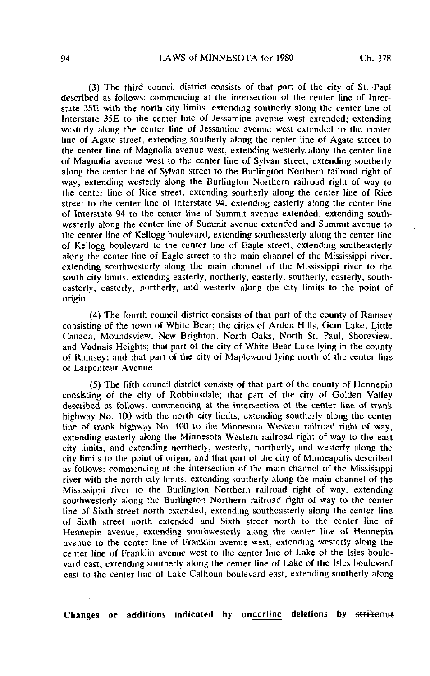(3) The third council district consists of that part of the city of St. Paul described as follows: commencing at the intersection of the center line of Interstate 35E with the north city limits, extending southerly along the center line of Interstate 35E to the center line of Jessamine avenue west extended; extending westerly along the center line of Jessamine avenue west extended to the center line of Agate street, extending southerly along the center line of Agate street to the center line of Magnolia avenue west, extending westerly, along the center line of Magnolia avenue west to the center line of Sylvan street, extending southerly along the center line of Sylvan street to the Burlington Northern railroad right of way, extending westerly along the Burlington Northern railroad right of way to the center line of Rice street, extending southerly along the center line of Rice street to the center line of Interstate 94, extending easterly along the center line of Interstate 94 to the center line of Summit avenue extended, extending southwesterly along the center line of Summit avenue extended and Summit avenue to the center line of Kellogg boulevard, extending southeasterly along the center line of Kellogg boulevard to the center line of Eagle street, extending southeasterly along the center line of Eagle street to the main channel of the Mississippi river, extending southwesterly along the main channel of the Mississippi river to the south city limits, extending easterly, northerly, easterly, southerly, easterly, southeasterly, easterly, northerly, and westerly along the city limits to the point of origin.

(4) The fourth council district consists of that part of the county of Ramsey consisting of the town of White Bear; the cities of Arden Hills, Gem Lake, Little Canada, Moundsview, New Brighton, North Oaks, North St. Paul, Shoreview, and Vadnais Heights; that part of the city of White Bear Lake lying in the county of Ramsey; and that part of the city of Maplewood lying north of the center line of Larpenteur Avenue.

(5) The fifth council district consists of that part of the county of Hennepin consisting of the city of Robbinsdale; that part of the city of Golden Valley described as follows', commencing at the intersection of the center line of trunk highway No. 100 with the north city limits, extending southerly along the center line of trunk highway No. 100 to the Minnesota Western railroad right of way, extending easterly along the Minnesota Western railroad right of way to the east city limits, and extending northerly, westerly, northerly, and westerly along the city limits to the point of origin; and that part of the city of Minneapolis described as follows: commencing at the intersection of the main channel of the Mississippi river with the north city limits, extending southerly along the main channel of the Mississippi river to the Burlington Northern railroad right of way, extending southwesterly along the Burlington Northern railroad right of way to the center line of Sixth street north extended, extending southeasterly along the center line of Sixth street north extended and Sixth street north to the center line of Hennepin avenue, extending southwesterly along the center line of Hennepin avenue to the center line of Franklin avenue west, extending westerly along the center line of Franklin avenue west to the center line of Lake of the Isles boulevard east, extending southerly along the center line of Lake of the Isles boulevard east to the center line of Lake Calhoun boulevard east, extending southerly along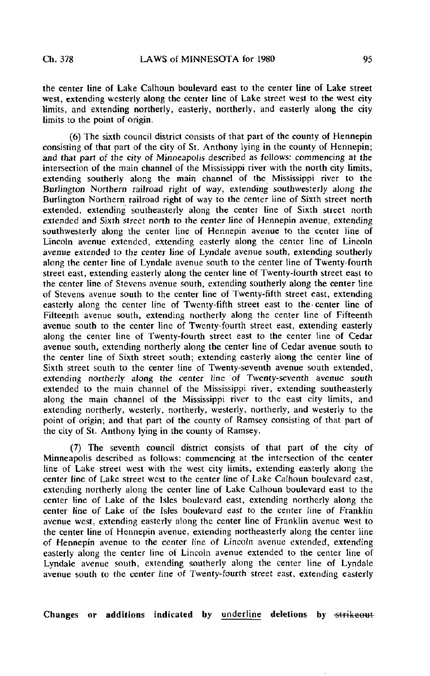the center line of Lake Calhoun boulevard east to the center line of Lake street west, extending westerly along the center line of Lake street west to the west city limits, and extending northerly, easterly, northerly, and easterly along the city limits to the point of origin.

(6) The sixth council district consists of that part of the county of Hennepin consisting of that part of the city of St. Anthony lying in the county of Hennepin; and that part of the city of Minneapolis described as follows: commencing at the intersection of the main channel of the Mississippi river with the north city limits, extending southerly along the main channel of the Mississippi river to the Burlington Northern railroad right of way, extending southwesterly along the Burlington Northern railroad right of way to the center line of Sixth street north extended, extending southeasterly along the center line of Sixth street north extended and Sixth street north to the center line of Hennepin avenue, extending southwesterly along the center line of Hennepin avenue to the center line of Lincoln avenue extended, extending easterly along the center line of Lincoln avenue extended to the center line of Lyndale avenue south, extending southerly along the center line of Lyndale avenue south to the center line of Twenty-fourth street east, extending easterly along the center line of Twenty-fourth street east to the center line of Stevens avenue south, extending southerly along the center line of Stevens avenue south to the center line of Twenty-fifth street east, extending easterly along the center line of Twenty-fifth street east to the center line of Fifteenth avenue south, extending northerly along the center line of Fifteenth avenue south to the center line of Twenty-fourth street east, extending easterly along the center line of Twenty-fourth street east to the center line of Cedar avenue south, extending northerly along the center line of Cedar avenue south to the center line of Sixth street south; extending easterly along the center line of Sixth street south to the center line of Twenty-seventh avenue south extended, extending northerly along the center line of Twenty-seventh avenue south extended to the main channel of the Mississippi river, extending southeasterly along the main channel of the Mississippi river to the east city limits, and extending northerly, westerly, northerly, westerly, northerly, and westerly to the point of origin; and that part of the county of Ramsey consisting of that part of the city of St. Anthony lying in the county of Ramsey.

(7) The seventh council district consists of that part of the city of Minneapolis described as follows: commencing at the intersection of the center line of Lake street west with the west city limits, extending easterly along the center line of Lake street west to the center line of Lake Calhoun boulevard east, extending northerly along the center line of Lake Calhoun boulevard east to the center line of Lake of the Isles boulevard east, extending northerly along the center line of Lake of the Isles boulevard east to the center line of Franklin avenue west, extending easterly along the center line of Franklin avenue west to the center line of Hennepin avenue, extending northeasterly along the center line of Hennepin avenue to the center line of Lincoln avenue extended, extending easterly along the center line of Lincoln avenue extended to the center line of Lyndale avenue south, extending southerly along the center line of Lyndale avenue south to the center line of Twenty-fourth street east, extending easterly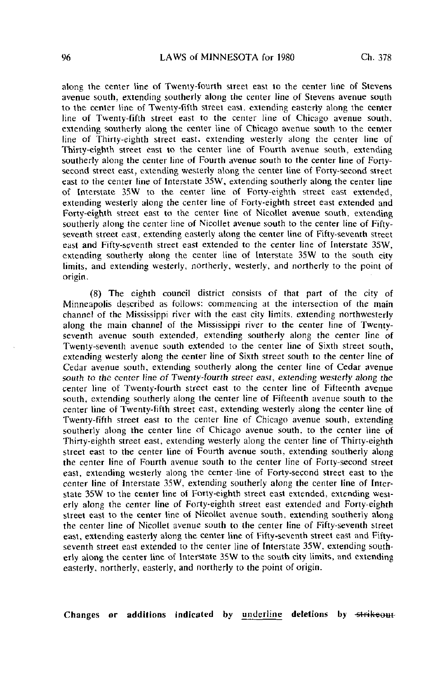along the center line of Twenty-fourth street east to the center line of Stevens avenue south, extending southerly along the center line of Stevens avenue south to the center line of Twenty-fifth street east, extending easterly along the center line of Twenty-fifth street east to the center line of Chicago avenue south, extending southerly along the center line of Chicago avenue south to the center line of Thirty-eighth street east, extending westerly along the center line of Thirty-eighth street east vo the center line of Fourth avenue south, extending southerly along the center line of Fourth avenue south to the center line of Fortysecond street east, extending westerly along the center line of Forty-second street east to the center line of Interstate 35W, extending southerly along the center line of Interstate 35W to the center line of Forty-eighth street east extended, extending westerly along the center line of Forty-eighth street east extended and Forty-eighth street east to the center line of Nicollet avenue south, extending southerly along the center line of Nicollet avenue south to the center line of Fiftyseventh street east, extending easterly along the center line of Fifty-seventh street east and Fifty-seventh street east extended to the center line of Interstate 35W, extending southerly along the center line of Interstate 35W to the south city limits, and extending westerly, northerly, westerly, and northerly to the point of origin.

(8) The eighth council district consists of that part of the city of Minneapolis described as follows: commencing at the intersection of the main channel of the Mississippi river with the east city limits, extending northwesterly along the main channel of the Mississippi river to the center line of Twentyseventh avenue south extended, extending southerly along the center line of Twenty-seventh avenue south extended to the center line of Sixth street south, extending westerly along the center line of Sixth street south to the center line of Cedar avenue south, extending southerly along the center line of Cedar avenue south to the center line of Twenty-fourth street east, extending westerly along the center line of Twenty-fourth street east to the center line of Fifteenth avenue south, extending southerly along the center line of Fifteenth avenue south to the center line of Twenty-fifth street east, extending westerly along the center line of Twenty-fifth street east to the center line of Chicago avenue south, extending southerly along the center line of Chicago avenue south, to the center line of Thirty-eighth street east, extending westerly along the center line of Thirty-eighth street east to the center line of Fourth avenue south, extending southerly along the center line of Fourth avenue south to the center line of Forty-second street east, extending westerly along the center line of Forty-second street east to the center line of Interstate 35W, extending southerly along the center line of Interstate 35W to the center line of Forty-eighth street east extended, extending westerly along the center line of Forty-eighth street east extended and Forty-eighth street east to the center line of Nicollet avenue south, extending southerly along the center line of Nicollet avenue south to the center line of Fifty-seventh street east, extending easterly along the center line of Fifty-seventh street east and Fiftyseventh street east extended to the center line of Interstate 35W, extending southerly along the center line of Interstate 35W to the south city limits, and extending easterly, northerly, easterly, and northerly to the point of origin.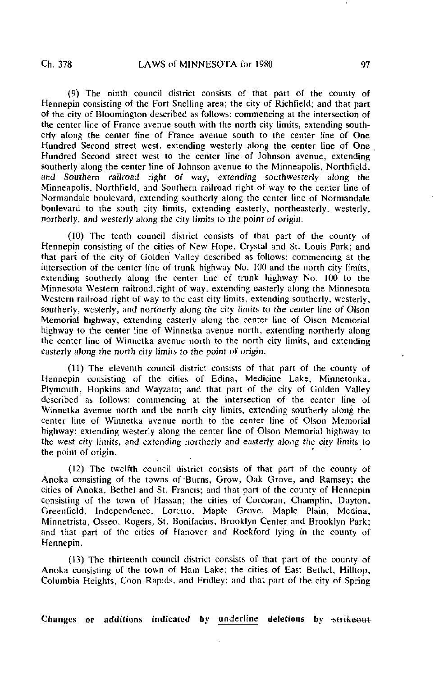(9) The ninth council district consists of that part of the county of Hennepin consisting of the Fort Snelling area; the city of Richfield; and that part of the city of Bloomington described as follows: commencing at the intersection of the center line of France avenue south with the north city limits, extending southerly along the center line of France avenue south to the center line of One Hundred Second street west, extending westerly along the center line of One Hundred Second street west to the center line of Johnson avenue, extending southerly along the center line of Johnson avenue to the Minneapolis, Northfield, and Southern railroad right of way, extending southwesterly along the Minneapolis. Northfield, and Southern railroad right of way to the center line of Normandale boulevard, extending southerly along the center line of Normandale boulevard to the south city limits, extending easterly, northeasterly, westerly, northerly, and westerly along the city limits to the point of origin.

(10) The tenth council district consists of that part of the county of Hennepin consisting of the cities of New Hope, Crystal and St. Louis Park; and that part of the city of Golden Valley described as follows: commencing at the intersection of the center line of trunk highway No. 100 and the north city limits, extending southerly along the center line of trunk highway No. 100 to the Minnesota Western railroad, right of way, extending easterly along the Minnesota Western railroad right of way to the east city limits, extending southerly, westerly, southerly, westerly, and northerly along the city limits to the center line of Olson Memorial highway, extending easterly along the center line of Olson Memorial highway to the center line of Winnetka avenue north, extending northerly along the center line of Winnetka avenue north to the north city limits, and extending easterly along the north city limits to the point of origin.

(11) The eleventh council district consists of that part of the county of Hennepin consisting of the cities of Edina, Medicine Lake, Minnetonka, Plymouth, Hopkins and Wayzata; and that part of the city of Golden Valley described as follows: commencing at the intersection of the center line of Winnetka avenue north and the north city limits, extending southerly along the center line of Winnetka avenue north to the center line of Olson Memorial highway; extending westerly along the center line of Olson Memorial highway to the west city limits, and extending northerly and easterly along the city limits to the point of origin.

(12) The twelfth council district consists of that part of the county of Anoka consisting of the towns of-Burns, Grow, Oak Grove, and Ramsey; the cities of Anoka, Bethel and St. Francis; and that part of the county of Hennepin consisting of the town of Hassan; the cities of Corcoran, Champlin, Dayton, Greenfield, Independence, Loretto, Maple Grove, Maple Plain, Medina, Minnetrista, Osseo. Rogers. St. Bonifacius, Brooklyn Center and Brooklyn Park; and that part of the cities of Hanover and Rockford lying in the county of Hennepin.

(13) The thirteenth council district consists of that part of the county of Anoka consisting of the town of Ham Lake; the cities of East Bethel, Hilltop, Columbia Heights, Coon Rapids, and Fridley; and that part of the city of Spring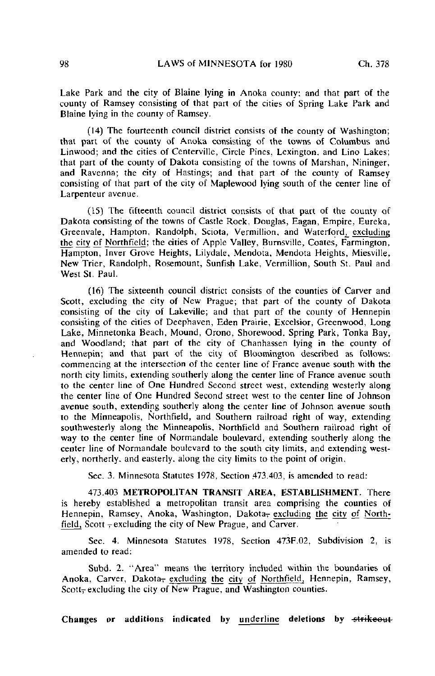Lake Park and the city of Blaine lying in Anoka county; and that part of the county of Ramsey consisting of that part of the cities of Spring Lake Park and Elaine lying in the county of Ramsey.

(14) The fourteenth council district consists of the county of Washington; that part of the county of Anoka consisting of the towns of Columbus and Linwood; and the cities of Centerville, Circle Pines, Lexington, and Lino Lakes; that part of the county of Dakota consisting of the towns of Marshan, Nininger, and Ravenna; the city of Hastings; and that part of the county of Ramsey consisting of that part of the city of Maplewood lying south of the center line of Larpenteur avenue.

(15) The fifteenth council district consists of that part of the county of Dakota consisting of the towns of Castle Rock, Douglas, Eagan, Empire, Eureka, Greenvale, Hampton, Randolph, Sciota, Verrnillion, and Waterford, excluding the city of Northfield; the cities of Apple Valley, Burnsville, Coates, Farmington, Hampton, Inver Grove Heights, Lilydale, Mendota, Mendota Heights, Miesville, New Trier, Randolph, Rosemount, Sunfish Lake, Verrnillion, South St. Paul and West St. Paul.

(16) The sixteenth council district consists of the counties of Carver and Scott, excluding the city of New Prague; that part of the county of Dakota consisting of the city of Lakeville; and that part of the county of Hennepin consisting of the cities of Deephaven, Eden Prairie, Excelsior, Greenwood, Long Lake, Minnetonka Beach, Mound, Orono, Shorewood, Spring Park, Tonka Bay, and Woodland; that part of the city of Chanhassen lying in the county of Hennepin; and that part of the city of Bloomington described as follows: commencing at the intersection of the center line of France avenue south with the north city limits, extending southerly along the center line of France avenue south to the center line of One Hundred Second street west, extending westerly along the center line of One Hundred Second street west to the center line of Johnson avenue south, extending southerly along the center line of Johnson avenue south to the Minneapolis, Northfield, and Southern railroad right of way, extending southwesterly along the Minneapolis, Northfield and Southern railroad right of way to the center line of Normandale boulevard, extending southerly along the center line of Normandale boulevard to the south city limits, and extending westerly, northerly, and easterly, along the city limits to the point of origin.

Sec. 3. Minnesota Statutes 1978, Section 473.403, is amended to read:

473.403 METROPOLITAN TRANSIT AREA, ESTABLISHMENT. There is hereby established a metropolitan transit area comprising the counties of Hennepin, Ramsey, Anoka, Washington, Dakota<sub></sub>, excluding the city of Northfield, Scott  $\frac{1}{2}$  excluding the city of New Prague, and Carver.

Sec. 4. Minnesota Statutes 1978, Section 473F.02, Subdivision 2, is amended to read:

Subd. 2. "Area" means the territory included within the boundaries of Anoka, Carver, Dakota, excluding the city of Northfield, Hennepin, Ramsey, Scott, excluding the city of New Prague, and Washington counties.